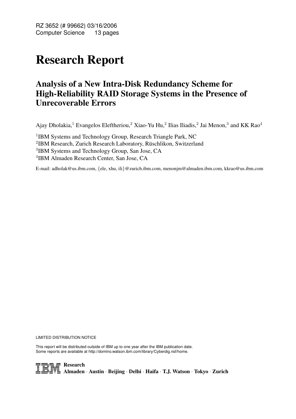RZ 3652 (# 99662) 03/16/2006 Computer Science 13 pages

# Research Report

## Analysis of a New Intra-Disk Redundancy Scheme for High-Reliability RAID Storage Systems in the Presence of Unrecoverable Errors

Ajay Dholakia,<sup>1</sup> Evangelos Eleftheriou,<sup>2</sup> Xiao-Yu Hu,<sup>2</sup> Ilias Iliadis,<sup>2</sup> Jai Menon,<sup>3</sup> and KK Rao<sup>4</sup>

<sup>1</sup>IBM Systems and Technology Group, Research Triangle Park, NC

<sup>2</sup>IBM Research, Zurich Research Laboratory, Rüschlikon, Switzerland

<sup>3</sup>IBM Systems and Technology Group, San Jose, CA

4 IBM Almaden Research Center, San Jose, CA

E-mail: adholak@us.ibm.com, {ele, xhu, ili}@zurich.ibm.com, menonjm@almaden.ibm.com, kkrao@us.ibm.com

LIMITED DISTRIBUTION NOTICE

This report will be distributed outside of IBM up to one year after the IBM publication date. Some reports are available at http://domino.watson.ibm.com/library/Cyberdig.nsf/home.

TRE Research<br>Almaden · Austin · Beijing · Delhi · Haifa · T.J. Watson · Tokyo · Zurich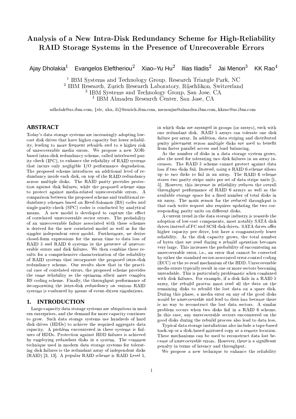## Analysis of a New Intra-Disk Redundancy Scheme for High-Reliability RAID Storage Systems in the Presence of Unrecoverable Errors

Evangelos Eleftheriou<sup>2</sup> Xiao-Yu Hu<sup>2</sup> Ilias Iliadis<sup>2</sup> Jai Menon<sup>3</sup>  $KK$  Rao<sup>4</sup> Ajay Dholakia<sup>1</sup>

<sup>1</sup> IBM Systems and Technology Group, Research Triangle Park, NC

<sup>2</sup> IBM Research, Zurich Research Laboratory, Rüschlikon, Switzerland

<sup>3</sup> IBM Systems and Technology Group, San Jose, CA

<sup>4</sup> IBM Almaden Research Center, San Jose, CA

adholak@us.ibm.com, {ele, xhu, ili}@zurich.ibm.com, menonjm@almaden.ibm.com, kkrao@us.ibm.com

### **ABSTRACT**

Today's data storage systems are increasingly adopting lowcost disk drives that have higher capacity but lower reliability, leading to more frequent rebuilds and to a higher risk of unrecoverable media errors. We propose a new XORbased intra-disk redundancy scheme, called interleaved parity check (IPC), to enhance the reliability of RAID systems that incurs only negligible I/O performance degradation. The proposed scheme introduces an additional level of redundancy inside each disk, on top of the RAID redundancy across multiple disks. The RAID parity provides protection against disk failures, while the proposed scheme aims to protect against media-related unrecoverable errors. A comparison between the proposed scheme and traditional redundancy schemes based on Reed-Solomon (RS) codes and single-parity-check (SPC) codes is conducted by analytical means. A new model is developed to capture the effect of correlated unrecoverable sector errors. The probability of an unrecoverable failure associated with these schemes is derived for the new correlated model as well as for the simpler independent error model. Furthermore, we derive closed-form expressions for the mean time to data loss of RAID 5 and RAID 6 systems in the presence of unrecoverable errors and disk failures. We then combine these results for a comprehensive characterization of the reliability of RAID systems that incorporate the proposed intra-disk redundancy scheme. Our results show that in the practical case of correlated errors, the proposed scheme provides the same reliability as the optimum albeit more complex RS coding scheme. Finally, the throughput performance of incorporating the intra-disk redundancy on various RAID systems is evaluated by means of event-driven simulations.

#### 1. **INTRODUCTION**

Large-capacity data storage systems are ubiquitous in modern enterprises, and the demand for more capacity continues to grow. Such data storage systems use hundreds of hard disk drives (HDDs) to achieve the required aggregate data capacity. A problem encountered in these systems is failures of HDDs. Protection against HDD failures is achieved by employing redundant disks in a system. The common technique used in modern data storage systems for tolerating disk failures is the redundant array of independent disks (RAID) [3, 13]. A popular RAID scheme is RAID Level 5,

in which disks are arranged in groups (or arrays), each with one redundant disk. RAID 5 arrays can tolerate one disk failure per array. In addition, data striping and distributed parity placement across multiple disks are used to benefit from faster parallel access and load balancing.

As the number of disks in a data storage system grows, also the need for tolerating two disk failures in an array increases. The RAID 5 scheme cannot protect against data loss if two disks fail. Instead, using a RAID 6 scheme allows up to two disks to fail in an array. The RAID 6 scheme stores two parity stripe units per set of data stripe units [1, 5]. However, this increase in reliability reduces the overall throughput performance of RAID 6 arrays as well as the available storage space for a fixed number of total disks in an array. The main reason for the reduced throughput is that each write request also requires updating the two corresponding parity units on different disks.

A current trend in the data storage industry is towards the adoption of low-cost components, most notably SATA disk drives instead of FC and SCSI disk drives. SATA drives offer higher capacity per drive, but have a comparatively lower reliability. As the disk capacity grows, the total number of bytes that are read during a rebuild operation becomes very large. This increases the probability of encountering an unrecoverable error, i.e., an error that cannot be corrected by either the standard sector-associated error-control coding (ECC) or the re-read mechanism of the HDD. Unrecoverable media errors typically result in one or more sectors becoming unreadable. This is particularly problematic when combined with disk failures. For example, if a disk fails in a RAID 5 array, the rebuild process must read all the data on the remaining disks to rebuild the lost data on a spare disk. During this phase, a media error on any of the good disks would be unrecoverable and lead to data loss because there is no way to reconstruct the lost data sectors. A similar problem occurs when two disks fail in a RAID 6 scheme. In this case, any unrecoverable sectors encountered on the good disks during the rebuild process also lead to data loss.

Typical data storage installations also include a tape-based back-up or a disk-based mirrored copy at a remote location. These mechanisms can be used to reconstruct data lost because of unrecoverable errors. However, there is a significant penalty in terms of latency and throughput.

We propose a new technique to enhance the reliability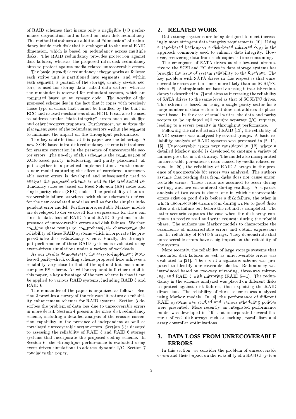of RAID schemes that incurs only a negligible I/O performance degradation and is based on intra-disk redundancy. The method introduces an additional "dimension" of redundancy inside each disk that is orthogonal to the usual RAID dimension, which is based on redundancy across multiple disks. The RAID redundancy provides protection against disk failures, whereas the proposed intra-disk redundancy aims to protect against media-related unrecoverable errors.

The basic intra-disk redundancy scheme works as follows: each stripe unit is partitioned into segments, and within each segment, a portion of the storage, usually several sectors, is used for storing data, called data sectors, whereas the remainder is reserved for redundant sectors, which are computed based on an erasure code. The novelty of the proposed scheme lies in the fact that it copes with precisely those type of errors that cannot be handled by the built-in ECC and re-read mechanisms of an HDD. It can also be used to address similar "data-integrity" errors such as bit-flips and other incorrect responses. Furthermore, we address the placement issue of the redundant sectors within the segment to minimize the impact on the throughput performance.

The key contributions of this paper are the following. A new XOR-based intra-disk redundancy scheme is introduced for erasure correction in the presence of unrecoverable sector errors. The novelty of this scheme is the combination of XOR-based parity, interleaving, and parity placement, all put together in a practical implementation. Furthermore, a new model capturing the effect of correlated unrecoverable sector errors is developed and subsequently used to analyze the proposed scheme as well as the traditional redundancy schemes based on Reed-Solomon (RS) codes and single-parity-check (SPC) codes. The probability of an unrecoverable failure associated with these schemes is derived for the new correlated model as well as for the simpler independent error model. Furthermore, suitable Markov models are developed to derive closed-form expressions for the mean time to data loss of RAID 5 and RAID 6 systems in the presence of unrecoverable errors and disk failures. We then combine these results to comprehensively characterize the reliability of these RAID systems which incorporate the proposed intra-disk redundancy scheme. Finally, the throughput performance of these RAID systems is evaluated using event-driven simulations under a variety of workloads.

As our results demonstrate, the easy-to-implement interleaved parity-check coding scheme proposed here achieves a reliability very close to that of the optimal but much more complex RS scheme. As will be explored in further detail in this paper, a key advantage of the new scheme is that it can be applied to various RAID systems, including RAID 5 and RAID 6.

The remainder of the paper is organized as follows. Section 2 provides a survey of the relevant literature on reliability enhancement schemes for RAID systems. Section 3 describes the problem of data loss due to unrecoverable errors in more detail. Section 4 presents the intra-disk redundancy scheme, including a detailed analysis of the erasure correction capability in the presence of independent as well as correlated unrecoverable sector errors. Section 5 is devoted to assessing the reliability of RAID 5 and RAID 6 storage systems that incorporate the proposed coding scheme. In Section 6, the throughput performance is evaluated using event-driven simulations to address dynamic I/O. Section 7 concludes the paper.

### 2. RELATED WORK

Data storage systems are being designed to meet increasingly more stringent data integrity requirements [10]. Using a tape-based back-up or a disk-based mirrored copy is the approach commonly used to enhance data integrity. However, recovering data from such copies is time consuming.

The emergence of SATA drives as the low-cost alternative to the SCSI and FC drives in data storage systems has brought the issue of system reliability to the forefront. The key problem with SATA drives in this respect is that unrecoverable errors are ten times more likely than on SCSI/FC drives [8]. A simple scheme based on using intra-disk redundancy is described in [7] and aims at increasing the reliability of SATA drives to the same level as that of SCSI/FC drives. This scheme is based on using a single parity sector for a large number of data sectors but does not address its placement issue. In the case of small writes, the data and parity sectors to be updated will require separate I/O requests, leading to a severe penalty in throughput performance.

Following the introduction of RAID [13], the reliability of RAID systems was analyzed by several groups. A basic reliability analysis of RAID systems was presented in [2, 11, 15. Unrecoverable errors were considered in [12], where a detailed Markov model is developed to capture a variety of failures possible in a disk array. The model also incorporated uncorrectable permanent errors caused by media-related errors. In [20], the reliability of RAID 5 arrays in the presence of uncorrectable bit errors was analyzed. The authors assume that reading data from disks does not cause uncorrectable errors. These errors are assumed to occur during writing, and are encountered during reading. A separate analysis of two cases is done: one in which uncorrectable errors exist on good disks before a disk failure, the other in which uncorrectable errors occur during writes to good disks after a disk failure but before the rebuild is completed. The latter scenario captures the case when the disk array continues to receive read and write requests during the rebuild phase. The authors use Markov models to characterize the occurrence of uncorrectable errors and obtain expressions for the reliability of RAID 5 arrays. They demonstrate that unrecoverable errors have a big impact on the reliability of the system.

More recently, the reliability of large storage systems that encounter disk failures as well as unrecoverable errors was evaluated in [21]. The use of a signature scheme was proposed to identify unrecoverable blocks. Redundancy was introduced based on two-way mirroring, three-way mirroring, and RAID 5 with mirroring (RAID 5+1). The redundancy in the schemes analyzed was placed on different disks to protect against disk failures, thus exploiting the RAID dimension. The reliability of these schemes was analyzed using Markov models. In [4], the performance of different RAID systems was studied and various scheduling policies were presented. More recently, an integrated performance model was developed in [19] that incorporated several features of real disk arrays such as caching, parallelism and array controller optimizations.

#### **DATA LOSS FROM UNRECOVERABLE** 3. **ERRORS**

In this section, we consider the problem of unrecoverable errors and their impact on the reliability of a RAID 5 system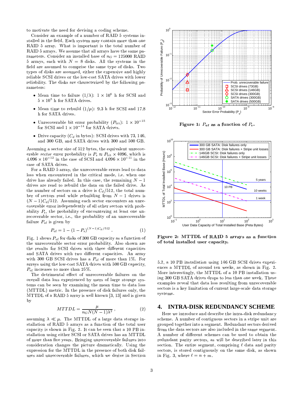to motivate the need for devising a coding scheme.

Consider an example of a number of RAID 5 systems installed in the field. Each system may contain more than one RAID 5 array. What is important is the total number of RAID 5 arrays. We assume that all arrays have the same parameters. Consider an installed base of  $n_G = 125000$  RAID 5 arrays, each with  $N = 8$  disks. All the systems in the field are assumed to comprise the same type of disks. Two types of disks are assumed, either the expensive and highly reliable SCSI drives or the low-cost SATA drives with lower reliability. The disks are characterized by the following parameters:

- Mean time to failure  $(1/\lambda)$ :  $1 \times 10^6$  h for SCSI and  $5 \times 10^5$  h for SATA drives.
- Mean time to rebuild  $(1/\mu)$ : 9.3 h for SCSI and 17.8 h for SATA drives.
- Unrecoverable bit error probability  $(P_{\text{bit}})$ :  $1 \times 10^{-15}$ for SCSI and  $1 \times 10^{-14}$  for SATA drives.
- Drive capacity ( $C_d$  in bytes): SCSI drives with 73, 146, and 300 GB, and SATA drives with 300 and 500 GB.

Assuming a sector size of 512 bytes, the equivalent unrecoverable sector error probability is  $P_{\rm s} \approx P_{\rm bit} \times 4096$ , which is  $4.096\times10^{-12}$  in the case of SCSI and  $4.096\times10^{-11}$  in the case of SATA drives.

For a RAID 5 array, the unrecoverable errors lead to data loss when encountered in the critical mode, i.e. when one drive has already failed. In this case, the remaining  $N-1$ drives are read to rebuild the data on the failed drive. As the number of sectors on a drive is  $C_d/512$ , the total number of sectors read while rebuilding from  $N-1$  drives is  $(N-1)C_d/512$ . Assuming each sector encounters an unrecoverable error independently of all other sectors with probability  $P_s$ , the probability of encountering at least one unrecoverable sector, i.e., the probability of an unrecoverable failure  $P_{\text{uf}}$  is given by

$$
P_{\text{nf}} = 1 - (1 - P_{\text{s}})^{(N-1)C_d/512} \tag{1}
$$

Fig. 1 shows  $P_{\text{uf}}$  for disks of 300 GB capacity as a function of the unrecoverable sector error probability. Also shown are the results for SCSI drives with three different capacities and SATA drives with two different capacities. An array with 300 GB SCSI drives has a  $P_{\text{uf}}$  of more than 1%. For arrays using the low-cost SATA drives with 500 GB capacity,  $P_{\text{uf}}$  increases to more than 25%.

The detrimental effect of unrecoverable failures on the overall data loss experienced by users of large storage systems can be seen by examining the mean time to data loss (MTTDL) metric. In the presence of disk failures only, the MTTDL of a RAID 5 array is well known [3, 13] and is given by

$$
MTTDL = \frac{\mu}{n_G N(N-1)\lambda^2} \,, \tag{2}
$$

assuming  $\lambda \ll \mu$ . The MTTDL of a large data storage installation of RAID 5 arrays as a function of the total user capacity is shown in Fig. 2. It can be seen that a 10 PB installation using either SCSI or SATA drives has an MTTDL of more than five years. Bringing unrecoverable failures into consideration changes the picture dramatically. Using the expression for the MTTDL in the presence of both disk failures and unrecoverable failures, which we derive in Section



Figure 1:  $P_{\text{uf}}$  as a function of  $P_{\text{s}}$ .



Figure 2: MTTDL of RAID 5 arrays as a function of total installed user capacity.

5.2, a 10 PB installation using 146 GB SCSI drives experiences a MTTDL of around ten weeks, as shown in Fig. 2. More interestingly, the MTTDL of a 10 PB installation using 300 GB SATA drives drops to less than one week. These examples reveal that data loss resulting from unrecoverable sectors is a key limitation of current large-scale data storage systems.

#### **INTRA-DISK REDUNDANCY SCHEME** 4.

Here we introduce and describe the intra-disk redundancy scheme. A number of contiguous sectors in a stripe unit are grouped together into a segment. Redundant sectors derived from the data sectors are also included in the same segment. A number of different schemes can be used to obtain the redundant parity sectors, as will be described later in this section. The entire segment, comprising  $\ell$  data and parity sectors, is stored contiguously on the same disk, as shown in Fig. 3, where  $\ell = n + m$ .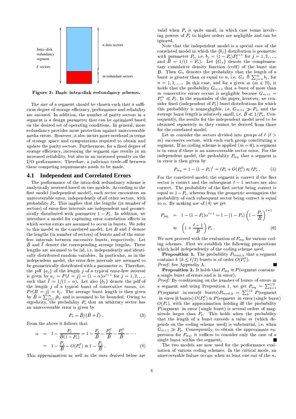

Figure 3: Basic intra-disk redundancy scheme.

The size of a segment should be chosen such that a sufficient degree of storage efficiency, performance and reliability are ensured. In addition, the number of parity sectors in a segment is a design parameter that can be optimized based on the desired set of operating conditions. In general, more redundancy provides more protection against unrecoverable media errors. However, it also incurs more overhead in terms of storage space and computations required to obtain and update the parity sectors. Furthermore, for a fixed degree of storage efficiency, increasing the segment size results in an increased reliability, but also in an increased penalty on the I/O performance. Therefore, a judicious trade-off between these competing requirements needs to be made.

#### 4.1 Independent and Correlated Errors

The performance of the intra-disk redundancy scheme is analytically assessed based on two models. According to the first model (independent model), each sector encounters an unrecoverable error, independently of all other sectors, with probability  $P_s$ . This implies that the lengths (in number of sectors) of error-free intervals are independent and geometrically distributed with parameter  $1 - P_s$ . In addition, we introduce a model for capturing error correlation effects in which sector errors are assumed to occur in bursts. We refer to this model as the correlated model. Let  $B$  and  $I$  denote the lengths (in number of sectors) of bursts and of the errorfree intervals between successive bursts, respectively. Let  $\overline{B}$  and  $\overline{I}$  denote the corresponding average lengths. These lengths are assumed to be iid, i.e. independently and identically distributed random variables. In particular, as in the independent model, the error-free intervals are assumed to be geometrically distributed with a parameter  $\alpha$ . Therefore, the pdf  $\{a_i\}$  of the length j of a typical error-free interval is given by  $a_j = P(I = j) = (1 - \alpha)\alpha^{j-1}$  for  $j = 1, 2, ...$ ,<br>such that  $\overline{I} = 1/(1 - \alpha)$ . Let also  $\{b_j\}$  denote the pdf of the length  $j$  of a typical burst of consecutive errors, i.e.  $Pr(B = j) = b_j$ . The average burst length is then given<br>by  $\overline{B} = \sum_{j=1}^{\infty} jb_j$  and is assumed to be bounded. Owing to ergodicity, the probability  $P_s$  that an arbitrary sector has an unrecoverable error is given by

$$
P_{\rm s} = \bar{B}/(\bar{B} + \bar{I})\,. \tag{3}
$$

From the above it follows that

$$
\alpha = 1 - \frac{P_{\rm s}}{\bar{B}(1 - P_{\rm s})} = 1 - \frac{P_{\rm s}}{\bar{B}} - \frac{P_{\rm s}^2}{\bar{B}} - \frac{P_{\rm s}^3}{\bar{B}} - \cdots
$$

$$
= 1 - \frac{P_{\rm s}}{\bar{B}} - O(P_{\rm s}^2) \approx 1 - \frac{P_{\rm s}}{\bar{B}} \tag{4}
$$

This approximation as well as the ones derived below are

valid when  $P_s$  is quite small, in which case terms involving powers of  $P_s$  to higher orders are negligible and can be ignored.

Note that the independent model is a special case of the correlated model in which the  ${b_j}$  distribution is geometric with parameter  $P_{\rm s}$ , i.e.  $b_j = (1 - P_{\rm s}) P_{\rm s}^{j-1}$  for  $j = 1, 2, ...,$ and  $B = 1/(1 - P_s)$ . Let  $\{G_n\}$  denote the complementary cumulative density function (ccdf) of the burst size  $B$ . Then  $G_n$  denotes the probability that the length of a burst is greater than or equal to n, i.e.  $G_n \triangleq \sum_{j=n}^{\infty} b_j$ , for  $n = 1, 2, \ldots$  In this case, and for a given  $m \ (m \in \mathbb{N})$ , it holds that the probability  $G_{m+1}$  that a burst of more than m consecutive errors occurs is negligible because  $G_{m+1} =$  $P_{\rm s}^m \ll P_{\rm s}$ . In the remainder of the paper, however, we consider fixed (independent of  $P_s$ ) burst distributions for which this probability is nonnegligible, i.e.  $G_{m+1} \gg P_s$ , and the average burst length is relatively small, i.e.  $\bar{B} \ll 1/P_s$ . Consequently, the results for the independent model need to be obtained separately as they cannot be derived from those for the correlated model.

Let us consider the sectors divided into groups of  $\ell$  ( $\ell >$  $(m)$  successive sectors, with each such group constituting a segment. If no coding scheme is applied  $(m = 0)$ , a segment is in error if there is an unrecoverable sector error. For the independent model, the probability  $P_{seg}$  that a segment is in error is then given by

$$
P_{\text{seg}} = 1 - (1 - P_{\text{s}})^{\ell} = \ell P_{\text{s}} + O(P_{\text{s}}^2) \approx \ell P_{\text{s}} . \tag{5}
$$

For the correlated model, the segment is correct if the first sector is correct and the subsequent  $\ell - 1$  sectors are also correct. The probability of the first sector being correct is equal to  $1-P_s$ , whereas from the geometric assumption the probability of each subsequent sector being correct is equal to  $\alpha$ . By making use of (4) we get

$$
P_{\text{seg}} = 1 - (1 - P_{\text{s}})\alpha^{\ell - 1} = 1 - (1 - P_{\text{s}}) \left(1 - \frac{P_{\text{s}}}{\bar{B}}\right)^{\ell - 1}
$$

$$
\approx \left(1 + \frac{\ell - 1}{\bar{B}}\right) P_{\text{s}}.
$$
(6)

We now proceed with the evaluation of  $P_{\text{seg}}$  for various coding schemes. First we establish the following propositions which hold independently of the coding scheme used.

**Proposition 1.** The probability  $P_{\text{burst},k}$  that a segment contains  $k$  ( $k \leq \ell/2$ ) bursts is of order  $O(P_s^k)$ . Proof: See Appendix A.

**Proposition 2.** It holds that  $P_{\text{seg}} \approx P(\text{segment contains})$ a single burst of errors and is in error).

Proof: By conditioning on the number of bursts of errors in a segment and using Proposition 1, we get  $P_{\text{seg}} = \sum_{k=1}^{\ell/2} P(\text{segment in error}|k \text{ bursts})P_{\text{burst},k} = \sum_{k}^{\ell/2} P(\text{segment}$ in error |k bursts)  $O(P_s^k) \approx P(\text{segment in error} | \text{single burst})$  $O(P_s)$ , with the approximation holding iff the probability  $P$ (segment in error | single burst) is several orders of magnitude larger than  $P_s$ . This holds when the probability that the length of a burst exceeds a value  $m$  (which depends on the coding scheme used) is substantial, i.e. when  $G_{m+1} \gg P_s$ . Consequently, to obtain the approximate expression for  $P_{\text{seg}}$ , it suffices to consider only the case of a single burst within the segment. П

The two models are now used for the performance evaluation of various coding schemes. In the critical mode, an unrecoverable failure occurs when at least one out of the  $n_s$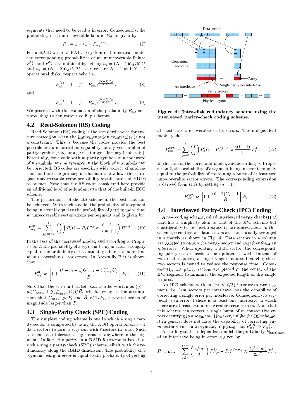segments that need to be read is in error. Consequently, the probability of an unrecoverable failure,  $P_{\text{uf}}$ , is given by

$$
P_{\rm uf} = 1 - (1 - P_{\rm seg})^{n_s} \tag{7}
$$

For a RAID 5 and a RAID 6 system in the critical mode, the corresponding probabilities of an unrecoverable failure  $P_{\text{uf}}^{(1)}$  and  $P_{\text{uf}}^{(2)}$  are obtained by setting  $n_s = (N-1)C_d/512\ell$ <br>and  $n_s = (N-2)C_d/512\ell$ , as there are  $N-1$  and  $N-2$ operational disks, respectively, i.e.

$$
P_{\rm uf}^{(1)} = 1 - (1 - P_{\rm seg})^{\frac{(N-1)C_d}{512\ell}} \,, \tag{8}
$$

and

$$
P_{\text{uf}}^{(2)} = 1 - (1 - P_{\text{seg}})^{\frac{(N-2)C_d}{512\ell}} \tag{9}
$$

We proceed with the evaluation of the probability  $P_{\text{seg}}$  corresponding to the various coding schemes.

#### 4.2 **Reed-Solomon (RS) Coding**

Reed-Solomon (RS) coding is the standard choice for erasure correction when the implementation complexity is not a constraint. This is because the codes provide the best possible erasure correction capability for a given number of parity symbols, i.e., for a given storage efficiency (code rate). Essentially, for a code with  $m$  parity symbols in a codeword of  $n$  symbols, any  $m$  erasures in the block of  $n$  symbols can be corrected. RS codes are used in a wide variety of applications and are the primary mechanism that allows the stringent uncorrectable error probability specification of HDDs to be met. Note that the RS codes considered here provide an additional level of redundancy to that of the built-in ECC scheme.

The performance of the RS scheme is the best that can be achieved. With such a code, the probability of a segment being in error is equal to the probability of getting more than  $m$  unrecoverable sector errors per segment and is given by

$$
P_{\text{seg}}^{\text{RS}} = \sum_{j \ge m+1}^{\ell} {\ell \choose j} P_{\text{s}}^{j} (1 - P_{\text{s}})^{\ell - j} \approx {\ell \choose m+1} P_{\text{s}}^{m+1} . (10)
$$

In the case of the correlated model, and according to Proposition 2, the probability of a segment being in error is roughly equal to the probability of it containing a burst of more than  $m$  unrecoverable sector errors. In Appendix B it is shown that

$$
P_{\text{seg}}^{\text{RS}} \approx \left[1 + \frac{(\ell - m - 1)G_{m+1} - \sum_{j=1}^{m} G_j}{\bar{B}}\right] P_{\text{s}} . \tag{11}
$$

Note that the term in brackets can also be written as  $((\ell (m)G_{m+1} + \sum_{j=m+2}^{\infty} G_j/\overline{B}$ , which, owing to the assumptions that  $G_{m+1} \gg P_s$  and  $\bar{B} \ll 1/P_s$ , is several orders of magnitude larger than  $P_s$ .

#### **Single-Parity Check (SPC) Coding** 4.3

The simplest coding scheme is one in which a single parity sector is computed by using the XOR operation on  $\ell - 1$ data sectors to form a segment with  $\ell$  sectors in total. Such a scheme can tolerate a single erasure anywhere in the segment. In fact, the parity in a RAID 5 scheme is based on such a single parity-check (SPC) scheme, albeit with the redundancy along the RAID dimension. The probability of a segment being in error is equal to the probability of getting



Figure 4: Intra-disk redundancy scheme using the interleaved parity-check coding scheme.

at least two unrecoverable sector errors. The independent model yields

$$
P_{\text{seg}}^{\text{SPC}} = \sum_{j=2}^{\ell} {\binom{\ell}{j}} P_{\text{s}}^{j} (1 - P_{\text{s}})^{\ell - j} \approx \frac{\ell(\ell - 1)}{2} P_{\text{s}}^{2} . \tag{12}
$$

In the case of the correlated model, and according to Proposition 2, the probability of a segment being in error is roughly equal to the probability of containing a burst of at least two unrecoverable sector errors. The corresponding expression is derived from (11) by setting  $m = 1$ ,

$$
P_{\text{seg}}^{\text{SPC}} \approx \left[1 + \frac{(\ell - 2)G_2 - 1}{\bar{B}}\right] P_{\text{s}}\,. \tag{13}
$$

### 4.4 Interleaved Parity-Check (IPC) Coding

A new coding scheme, called interleaved parity check (IPC), that has a simplicity akin to that of the SPC scheme but considerably better performance is introduced next. In this scheme,  $n$  contiguous data sectors are conceptually arranged in a matrix as shown in Fig. 4. Data sectors in a column are XORed to obtain the parity sector and together form an *interleave.* When updating a data sector, the corresponding parity sector needs to be updated as well. Instead of two read requests, a single longer request involving these two sectors is issued to reduce the response time. Consequently, the parity sectors are placed in the center of the IPC segment to minimize the expected length of this single request.

An IPC scheme with  $m$  ( $m < l/2$ ) interleaves per segment, i.e.  $\ell/m$  sectors per interleave, has the capability of correcting a single error per interleave. Consequently, a segment is in error if there is at least one interleave in which there are at least two unrecoverable sector errors. Note that this scheme can correct a single burst of  $m$  consecutive errors occurring in a segment. However, unlike the RS scheme, it in general does not have the capability of correcting any m sector errors in a segment, implying that  $P_{\text{seg}}^{\text{IPC}} > P_{\text{seg}}^{\text{RS}}$ .

According to the independent model, the probability  $P_{\text{interleave}}$ of an interleave being in error is given by

$$
P_{\text{interleave}} = \sum_{j\geq 2}^{\ell/m} \binom{\ell/m}{j} P_{\text{s}}^j (1-P_{\text{s}})^{\ell/m-j} \approx \frac{\ell(\ell-m)}{2m^2} P_{\text{s}}^2.
$$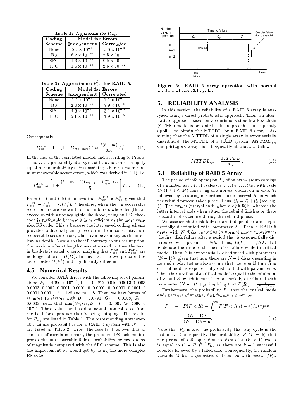Table 1: Approximate  $P_{\mathbf{s}\bullet\sigma}$ .

| Coding        | Model for Errors         |                       |
|---------------|--------------------------|-----------------------|
| <b>Scheme</b> | Independent   Correlated |                       |
| None          | $5.2 \times 10^{-9}$     | $5.0 \times 10^{-9}$  |
| RS            | $6.2 \times 10^{-81}$    | $2.5 \times 10^{-12}$ |
| SPC           | $1.3 \times 10^{-17}$    | $9.5 \times 10^{-11}$ |
|               | $1.6 \times 10^{-18}$    | $2.5 \times 10$       |

Table 2: Approximate  $P^{(1)}$  for RAID 5.

| Coding        | Model for Errors         |                      |
|---------------|--------------------------|----------------------|
| <b>Scheme</b> | Independent   Correlated |                      |
| None          | $1.5 \times 10^{-1}$     | $1.5 \times 10^{-1}$ |
| RS            | $2.0 \times 10^{-73}$    | $7.9 \times 10^{-5}$ |
| <b>SPC</b>    | $4.3 \times 10^{-10}$    | $3.1 \times 10^{-3}$ |
|               | $5.1 \times 10$          | $7.9 \times$         |

Consequently,

$$
P_{\text{seg}}^{\text{IPC}} = 1 - (1 - P_{\text{interleave}})^m \approx \frac{\ell(\ell - m)}{2m} P_{\text{s}}^2 \,. \tag{14}
$$

In the case of the correlated model, and according to Propo- $U$  is a goal of  $U$  . In the property  $\mathcal{U}$  is a property property  $\mathcal{U}$  and  $\mathcal{U}$  are  $\mathcal{U}$  . In the  $\mathcal{U}$ equal to the probability of it containing a burst of more than  $\mu$  uppectually sector errors, which was derived in (11) i.e.

$$
P_{\text{seg}}^{\text{IPC}} \approx \left[1 + \frac{(\ell - m - 1)G_{m+1} - \sum_{j=1}^{m} G_j}{\bar{B}}\right] P_{\text{s}} \,. \tag{15}
$$

 $\Gamma$ we and  $\Gamma$  (11)  $\Gamma$  and  $\Gamma$  is the mass of the mass of the mass  $\Gamma$  is the mass of the mass of the mass of the mass of the mass of the mass of the mass of the mass of the mass of the mass of the mass of the mass o  $\mathcal{D}^{\text{IPC}}$   $\mathcal{D}^{\text{RS}} = \mathcal{O}(\mathcal{D}^2)$  Therefore when the unrecessers ble abaad aan amaan amaa 1.00 samaa dagu joonna 1.00 samaalad aan lagu joonna 1.000 samaa 1.000 samaa 1.000 samaa  $\sim$  and the position of the position of the Mb turn of the turn of turn  $\sim$  Tuwbh  $\sim$   $\sim$   $\sim$ code is preferable because it is as efficient as the more complex RS code. This is because the interleaved coding scheme provides additional gain by recovering from consecutive unrecoverable sector errors, which can be as many as the interleaving depth. Note also that if, contrary to our assumption, the maximum burst length does not exceed  $m$ , then the term Wb XaMZR]gU WU ]nTMQ <sup>g</sup><sup>P</sup> `]aP[ WYiQeWbh <sup>g</sup>OMg  ! MbN  ! Ma]  $\mu$  , lenger of ender  $\mathcal{O}(D$  ). The file sees that the masked in the set  $\mathcal{L}_{\text{max}}(f)$  and  $\mathcal{L}_{\text{max}}(f)$  and  $\mathcal{L}_{\text{max}}(f)$  and  $\mathcal{L}_{\text{max}}(f)$ 

### **4.5 Numerical Results**

We consider SATA drives with the following set of parameters:  $D = 4006 \times 10^{-14}$  b = [0.0919.0.016.0.0019.0.0009 =  $\frac{1}{2}$  $0.0003$   $0.0002$   $0.0001$   $0.0001$   $0$   $0.0001$  0  $0.0001$  0.0001  $[0, 0.001, 0.0001]$   $\ell = 1.98$  and  $m = 8$  Then we have burgts of at most 16 sectors with  $\bar{D} = 10901$   $C = 0.0188$   $C =$ 0.0005, such that  $\min(G_2, G_9, \bar{B}^{-1}) = 0.0005 \gg 4096 \times$  $V = 14$  amplies to move that  $V = 1$  is a map  $V = 1$  fraction of  $V = 1$  fraction  $V = 1$  fraction of  $V = 1$  and  $V = 1$  . The set of  $V = 1$  or  $V = 1$  or  $V = 1$  or  $V = 1$  or  $V = 1$  or  $V = 1$  or  $V = 1$  or  $V = 1$  or  $V = 1$  or go and a model which we have a model when the contract of the contract of the contract of the contract of the c f ( ) in the controller of the control of the control of the control of the control of the control of the control of the control of the control of the control of the control of the control of the control of the control of able failure probabilities for a RAID 5 system with  $N = 8$ are listed in Table 2. From the results it follows that in the case of correlated errors, the proposed IPC scheme improves the unrecoverable failure probability by two orders of magnitude compared with the SPC scheme. This is also the improvement we would get by using the more complex RS code.



Figure 5: RAID 5 array operation with normal @N5 :=N 45<sup>31</sup> MN >L>M5;B

### **5. RELIABILITY ANALYSIS**

In this section, the reliability of a RAID 5 array is analyzed using a direct probabilistic approach. Then, an alternative approach based on a continuous-time Markov chain  $(CTMC)$  model is presented. This approach is subsequently applied to obtain the MTTDL for a RAID 6 array. Assuming that the MTTDL of a single array is exponentially distributed the MTTDL of a RAID system  $MTTDL_{\text{core}}$ comprising  $n<sub>G</sub>$  arrays is subsequently obtained as follows:

$$
MTTDL_{\rm sys} = \frac{MTTDL}{n_G} \ . \tag{16}
$$

### **5.1 Reliability of RAID 5 Array**

The period of safe operation  $T_G$  of an array group consists of a number, say M, of cycles  $C_1, \ldots, C_i, \ldots, C_M$ , with cycle  $C_{\ell}$  (1  $\leq i \leq M$ ) consisting of a normal operation interval  $T_{\ell}$ followed by a subsequent exitiest mode interval  $P$  in which the rebuild present to reapless. Thus,  $C = T + D$ , (see Fig.  $\Box$ w. TPL , force on interest on Johnson of Jiol. foils, and cores the form la Adam (and anno 1 ann 3 a gollann aidh an Alba an baile 1 An 1 Deas ann Albana is another disk failure during the rebuild phase.

We assume that disk failures are independent and expo $b_{\text{multi}}$ lla distributed mith concreter  $\lambda$  . Then e DAID  $\bar{c}$ array with  $N$  disks operating in normal mode experiences the first disk failure after a period that is exponentially distributed with parameter  $N\Lambda$  Thus  $E(T) = 1/N\Lambda$  Let  $F$  denote the time to the next disk failure while in critical mode. Then  $F$  is exponentially distributed with parameter  $(N-1)\lambda$ , given that now there are  $N-1$  disks operating in normal mode. Let us also assume that the rebuild time  $R$  in critical mode is exponentially distributed with parameter  $\mu$ . Then the duration of a critical mode is equal to the minimum  $\mathbb{P}^{\mathcal{D}}$  . Then  $\mathcal{D}^{\mathcal{D}}$  is the total was defined in the NWU game  $\mathcal{D}^{\mathcal{D}}$  is the NWU game  $\mathcal{D}^{\mathcal{D}}$ parameter  $(N-1)\lambda + \mu$ , implying that  $E(R_i) = \frac{1}{(N-1)\lambda + \mu}$ .

Furthermore, the probability  $P_{\text{fr}}$  that the critical mode ends because of another disk failure is given by

$$
P_{\text{fr}} = P(F < R) = \int_0^\infty P(F < R | R = x) f_R(x) dx
$$
\n
$$
= \frac{(N-1)\lambda}{(N-1)\lambda + \mu}.
$$
\n(17)

Note that  $P_{\text{fr}}$  is also the probability that any cycle is the  $\mathbf{Q}$  and  $\mathbf{Q}$  is easily in the set of  $\mathbf{P}(M)$  in the state of  $\mathbf{Q}$  is a state of  $\mathbf{Q}$  is a state of  $\mathbf{Q}$  is a state of  $\mathbf{Q}$  is a state of  $\mathbf{Q}$  is a state of  $\mathbf{Q}$  is a state of  $\mathbf{Q}$  i the period of safe operation consists of  $k$  ( $k \geq 1$ ) cycles is equal to  $(1 - P_{\text{fr}})^{k-1} P_{\text{fr}}$ , as there are  $k-1$  successful rebuilds followed by a failed one. Consequently, the random variable M has a geometric distribution with mean  $1/P_{\text{fr}}$ ,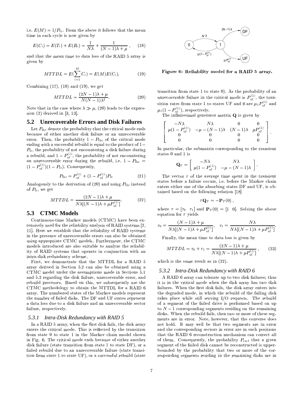i.e.  $E(M) = 1/P_{\text{fr}}$ . From the above it follows that the mean time in each cycle is now given by

$$
E(C_i) = E(T_i) + E(R_i) = \frac{1}{N\lambda} + \frac{1}{(N-1)\lambda + \mu},
$$
 (18)

and that the mean time to data loss of the RAID 5 array is given by

$$
MTTDL = E(\sum_{i=1}^{M} C_i) = E(M)E(C_i).
$$
 (19)

Combining  $(17)$ ,  $(18)$  and  $(19)$ , we get

$$
MTTDL = \frac{(2N-1)\lambda + \mu}{N(N-1)\lambda^2}.
$$
\n(20)

Note that in the case where  $\lambda \gg \mu$ , (20) leads to the expression  $(2)$  derived in  $[3, 13]$ .

#### $5.2$ **Unrecoverable Errors and Disk Failures**

Let  $P_{\text{fhr}}$  denote the probability that the critical mode ends because of either another disk failure or an unrecoverable error. Then, the probability  $1 - P_{\text{fhr}}$  of the critical mode ending with a successful rebuild is equal to the product of  $1 P_{\text{fr}}$ , the probability of not encountering a disk failure during a rebuild, and  $1 - P_{\text{uf}}^{(1)}$ , the probability of not encountering an unrecoverable error during the rebuild, i.e.  $1 - P_{\text{fhr}} =$  $(1 - P_{\text{uf}}^{(1)})(1 - P_{\text{fr}})$ . Consequently,

$$
P_{\text{fhr}} = P_{\text{uf}}^{(1)} + (1 - P_{\text{uf}}^{(1)}) P_{\text{fr}} \tag{21}
$$

Analogously to the derivation of (20) and using  $P_{\text{fhr}}$  instead of  $P_{\text{fr}}$ , we get

$$
MTTDL = \frac{(2N-1)\lambda + \mu}{N\lambda[(N-1)\lambda + \mu P_{\text{uf}}^{(1)}]}.
$$
 (22)

#### **CTMC Models** 5.3

Continuous-time Markov models (CTMC) have been extensively used for the reliability analysis of RAID systems [2, 11]. Here we establish that the reliability of RAID systems in the presence of unrecoverable errors can also be obtained using appropriate CTMC models. Furthermore, the CTMC models introduced are also suitable to analyze the reliability of RAID systems that operate in conjunction with an intra-disk redundancy scheme.

First, we demonstrate that the MTTDL for a RAID 5 array derived in Section 5.2 can also be obtained using a CTMC model under the assumptions made in Sections 5.1 and 5.2 regarding the disk failure, unrecoverable error, and rebuild processes. Based on this, we subsequently use the CTMC methodology to obtain the MTTDL for a RAID 6 array. The numbered states of the Markov models represent the number of failed disks. The DF and UF states represent a data loss due to a disk failure and an unrecoverable sector failure, respectively.

### 5.3.1 Intra-Disk Redundancy with RAID 5

In a RAID 5 array, when the first disk fails, the disk array enters the critical mode. This is reflected by the transition from state 0 to state 1 in the Markov chain model shown in Fig. 6. The critical mode ends because of either another disk failure (state transition from state 1 to state DF), or a failed rebuild due to an unrecoverable failure (state transition from state 1 to state UF), or a successful rebuild (state



Figure 6: Reliability model for a RAID 5 array.

transition from state 1 to state 0). As the probability of an unrecoverable failure in the critical mode is  $P_{\text{uf}}^{(1)}$ , the transition rates from state 1 to states UF and 0 are  $\mu_1 P_{\text{uf}}^{(1)}$  and  $\mu_1(1-P_{\rm uf}^{(1)}),$  respectively.

The infinitesimal generator matrix  $Q$  is given by

$$
\left[\begin{array}{cccc} -N\lambda & N\lambda & 0 & 0 \\ \mu(1-P_{\text{uf}}^{(1)}) & -\mu-(N-1)\lambda & (N-1)\lambda & \mu P_{\text{uf}}^{(1)} \\ 0 & 0 & 0 & 0 \\ 0 & 0 & 0 & 0 \end{array}\right].
$$

In particular, the submatrix corresponding to the transient states 0 and 1 is

$$
\mathbf{Q}_T = \left[ \begin{array}{cc} -N\lambda & N\lambda \\ \mu(1 - P_{\text{uf}}^{(1)}) & -\mu - (N-1)\lambda \end{array} \right].
$$

The vector  $\tau$  of the average time spent in the transient states before a failure occurs, i.e. before the Markov chain enters either one of the absorbing states DF and UF, is obtained based on the following relation [18]

$$
{}^{\mathbf{\scriptscriptstyle T}}\mathbf{Q}_T = -\mathbf{P}_T(0) \; ,
$$

where  $\tau = [\tau_0 \quad \tau_1]$  and  $\mathbf{P}_T(0) = [1 \quad 0]$ . Solving the above equation for  $\tau$  yields

$$
\tau_0 = \frac{(N-1)\lambda + \mu}{N\lambda[(N-1)\lambda + \mu P_{\text{uf}}^{(1)})}, \quad \tau_1 = \frac{N\lambda}{N\lambda[(N-1)\lambda + \mu P_{\text{uf}}^{(1)}]}
$$

Finally, the mean time to data loss is given by

$$
MTTDL = \tau_0 + \tau_1 = \frac{(2N - 1)\lambda + \mu}{N\lambda[(N - 1)\lambda + \mu P_{\text{nf}}^{(1)}]},
$$
 (23)

which is the same result as in  $(22)$ .

#### $5.3.2$ Intra-Disk Redundancy with RAID 6

A RAID 6 array can tolerate up to two disk failures; thus it is in the critical mode when the disk array has two disk failures. When the first disk fails, the disk array enters into the degraded mode, in which the rebuild of the failing disk takes place while still serving I/O requests. The rebuild of a segment of the failed drive is performed based on up to  $N-1$  corresponding segments residing on the remaining disks. When the rebuild fails, then two or more of these segments are in error. Note, however, that the converse does not hold. It may well be that two segments are in error and the corresponding sectors in error are in such positions that the RAID 6 reconstruction mechanism can correct all of them. Consequently, the probability  $P_{\text{recf}}$  that a given segment of the failed disk cannot be reconstructed is upperbounded by the probability that two or more of the corresponding segments residing in the remaining disks are in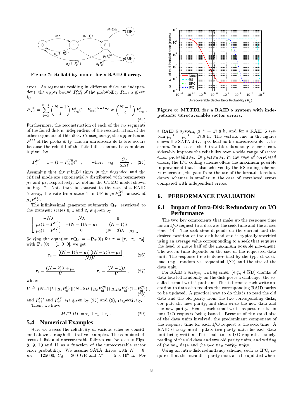

Figure 7: Reliability model for a RAID 6 array.

error. As segments residing in different disks are independent, the upper bound  $P_{\text{rect}}^{\text{UB}}$  of the probability  $P_{\text{rect}}$  is given by

$$
P_{\text{recf}}^{\text{UB}} = \sum_{j=2}^{N-1} {N-1 \choose j} P_{\text{seg}}^{j} (1 - P_{\text{seg}})^{N-1-j} \approx {N-1 \choose 2} P_{\text{seg}}^{2}.
$$
\n(24)

Furthermore, the reconstruction of each of the  $n_d$  segments of the failed disk is independent of the reconstruction of the other segments of this disk. Consequently, the upper bound  $P_{\text{nf}}^{(r)}$  of the probability that an unrecoverable failure occurs because the rebuild of the failed disk cannot be completed is given by

$$
P_{\rm uf}^{(r)} = 1 - (1 - P_{\rm ref}^{\rm UB})^{n_d}, \qquad \text{where} \quad n_d = \frac{C_d}{512\ell} \,. \tag{25}
$$

Assuming that the rebuild times in the degraded and the critical mode are exponentially distributed with parameters  $\mu_1$  and  $\mu_2$ , respectively, we obtain the CTMC model shown in Fig. 7. Note that, in contrast to the case of a RAID 5 array, the rate from state 1 to UF is  $\mu_1 P_{\text{nf}}^{(r)}$  instead of  $\mu_1 P_{...}^{(1)}$ 

The infinitesimal generator submatrix  $\mathbf{Q}_T$ , restricted to the transient states  $0$ ,  $1$  and  $2$ , is given by

$$
\left[\begin{array}{cc}-N\lambda & N\lambda & 0 \\\mu_1(1-P_{\mathrm{uf}}^{(r)}) & -(N-1)\lambda-\mu_1 & (N-1)\lambda \\ \mu_2(1-P_{\mathrm{uf}}^{(2)}) & 0 & -(N-2)\lambda-\mu_2\end{array}\right].
$$

Solving the equation  $\tau \mathbf{Q}_T = -\mathbf{P}_T(0)$  for  $\tau = [\tau_0 \quad \tau_1 \quad \tau_2],$ with  ${\bf P}_T(0) = [1 \ 0 \ 0]$ , we get

$$
\tau_0 = \frac{\left[ (N-1)\lambda + \mu_1 \right] \left[ (N-2)\lambda + \mu_2 \right]}{N\lambda V},\tag{26}
$$

$$
\tau_1 = \frac{(N-2)\lambda + \mu_2}{V}, \qquad \tau_2 = \frac{(N-1)\lambda}{V}, \qquad (27)
$$

where

$$
V \triangleq [(N-1)\lambda + \mu_1 P_{\text{uf}}^{(r)}][(N-2)\lambda + \mu_2 P_{\text{uf}}^{(2)}] + \mu_1 \mu_2 P_{\text{uf}}^{(r)}(1 - P_{\text{uf}}^{(2)})
$$
\n(28)

and  $P_{\text{uf}}^{(r)}$  and  $P_{\text{uf}}^{(2)}$  are given by (25) and (9), respectively. Then, we have

$$
MTTDL = \tau_0 + \tau_1 + \tau_2 \,. \tag{29}
$$

### **5.4 Numerical Examples**

Here we assess the reliability of various schemes considered above through illustrative examples. The combined effects of disk and unrecoverable failures can be seen in Figs. 8, 9, 10 and 11 as a function of the unrecoverable sector error probability. We assume SATA drives with  $N = 8$ ,  $n_G = 125000, C_d = 300$  GB and  $\lambda^{-1} = 5 \times 10^5$  h. For



Figure 8: MTTDL for a RAID 5 system with independent unrecoverable sector errors.

a RAID 5 system,  $\mu^{-1} = 17.8$  h, and for a RAID 6 system  $\mu_1^{-1} = \mu_2^{-1} = 17.8$  h. The vertical line in the figures shows the SATA drive specification for unrecoverable sector errors. In all cases, the intra-disk redundancy schemes considerably improve the reliability over a wide range of sector error probabilities. In particular, in the case of correlated errors, the IPC coding scheme offers the maximum possible improvement that is also achieved by the RS coding scheme. Furthermore, the gain from the use of the intra-disk redundancy schemes is smaller in the case of correlated errors compared with independent errors.

#### PERFORMANCE EVALUATION 6.

#### **Impact of Intra-Disk Redundancy on I/O** 6.1 **Performance**

The two key components that make up the response time for an I/O request to a disk are the seek time and the access time [14]. The seek time depends on the current and the desired position of the disk head and is typically specified using an average value corresponding to a seek that requires the head to move half of the maximum possible movement. The access time depends on the size of the requested data unit. The response time is determined by the type of workload (e.g., random vs. sequential  $I/O$ ) and the size of the data unit.

For RAID 5 arrays, writing small (e.g., 4 KB) chunks of data located randomly on the disk poses a challenge, the socalled "small-write" problem. This is because each write operation to data also requires the corresponding RAID parity to be updated. A practical way to do this is to read the old data and the old parity from the two corresponding disks, compute the new parity, and then write the new data and the new parity. Hence, each small-write request results in four I/O requests being issued. Because of the small size of the data units involved, the predominant component of the response time for each  $I/O$  request is the seek time. A RAID 6 array must update two parity units for each data unit being written. This leads to six I/O requests, namely, reading of the old data and two old parity units, and writing of the new data and the two new parity units.

Using an intra-disk redundancy scheme, such as IPC, requires that the intra-disk parity must also be updated when-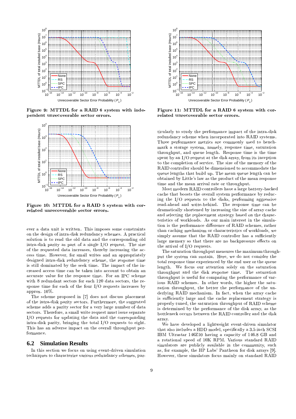

Figure 9: MTTDL for a RAID 6 system with independent unrecoverable sector errors.



Figure 10: MTTDL for a RAID 5 system with correlated unrecoverable sector errors.

ever a data unit is written. This imposes some constraints on the design of intra-disk redundancy schemes. A practical aa]Milaam la ira waa dhibba waldh daila waxdu daamaan aan dhaw waldh intra-disk parity as part of a single I/O request. The size of the requested data increases, thereby increasing the ac-2000 biin a TT airsin An Aonaill inibi an an an an anns an bhlia designed intra-disk redundancy scheme, the response time is still dominated by the seek time. The impact of the increased access time can be taken into account to obtain an a godine for the first presence of the second through the MD*C* (and the second through the second through the s with 8 redundant sectors for each  $120$  data sectors, the response time for each of the four  $I/O$  requests increases by approx.  $10\%$ .

The scheme proposed in [7] does not discuss placement uzo a mpila mpila mpila mpila mpila mpila mpila mpila mpila mpila mpila mpila mpila mpila mpila mpila mpila mp sectors. Therefore, a small write request must issue separate I/O requests for updating the data and the corresponding intra-disk parity, bringing the total I/O requests to eight. This has an adverse impact on the overall throughput performance.

### **6.2 Simulation Results**

In this section we focus on using event-driven simulation techniques to characterize various redundancy schemes, par-



Figure 11: MTTDL for a RAID 6 system with correlated unrecoverable sector errors.

ticularly to study the performance impact of the intra-disk adundanga sebagai pahan inggunanatad into  $\overline{D}$  AID sectors of Three performance metrics are commonly used to benchwaad o stanasa system nawaly nasnansa tiwa satunatian throughput, and queue length. Response time is the time spent by an I/O request at the disk array, from its inception to the completion of service. The size of the memory of the RAID controller should be dimensioned to accommodate the queue lengths that build up. The mean queue length can be obtained by Little's law as the product of the mean response time and the mean arrival rate or throughput.

read-ahead and write-behind. The response time can be Most modern RAID controllers have a large battery-backed cache that boosts the overall system performance by reducing the I/O requests to the disks, performing aggressive dramatically shortened by increasing the size of array cache and selecting the replacement strategy based on the characteristics of workloads. As our main interest in the simulation is the performance difference of RAID schemes, rather than caching mechanism or characteristics of workloads, we simply assume that the RAID controller has a sufficiently  $\lambda$ ar  $\alpha$  are  $\alpha$  and  $\alpha$  that there are no heliumagonic offertions. the arrival of  $I/O$  requests.

of the intra-disk parity sectors. Furthermore, the suggested properly tuned, the saturation throughput of RAID scheme The saturation throughput measures the maximum throughput the system can sustain. Here, we do not consider the total response time experienced by the end user or the queue length. We focus our attention solely on the saturation throughput and the disk response time. The saturation flassed based is essented from a second series of later and formation of second contracts. we have raised to provide the particle of the Parties of the Parties of the Parties of the Parties of the Parti award and go when the field of the second control of the control of the second second second second second second second second second second second second second second second second second second second second second sec derlying RAID mechanism. In fact, when the array cache is sufficiently large and the cache replacement strategy is is determined by the performance of the disk array, as the bottleneck occurs between the RAID controller and the disk array.

> We have developed a lightweight event-driven simulator that also includes a HDD model, specifically a 3.5-inch SCSI  $\mathbf{H}$  and  $\mathbf{H}$  and  $\mathbf{H}$  and  $\mathbf{H}$  is the  $\mathbf{H}$   $\mathbf{H}$  of  $\mathbf{H}$  and  $\mathbf{H}$  and  $\mathbf{H}$  is the  $\mathbf{H}$  is the  $\mathbf{H}$  is the  $\mathbf{H}$  is the  $\mathbf{H}$  is the  $\mathbf{H}$  is the  $\mathbf{H}$  is the  $\mathbf{H}$ a rotational speed of 10K RPM. Various standard RAID simulators are publicly available in the community, such as, for example, the HP Labs' Pantheon for disk arrays [9]. However, these simulators focus mainly on standard RAID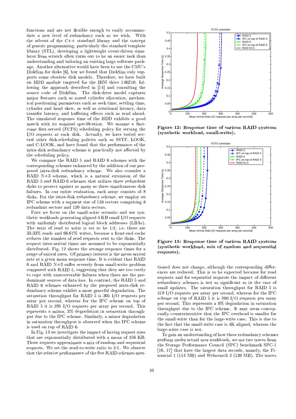functions and are not flexible enough to easily accommodate a new level of redundancy such as we wish. With the advent of the C++ standard library and the concept of generic programming, particularly the standard template library (STL), developing a lightweight event-driven simulator from scratch often turns out to be an easier task than understanding and tailoring an existing large software package. Another alternative would have been to use the CMU's DiskSim for disks [6], but we found that DiskSim only supports some obsolete disk models. Therefore, we have built an HDD module targeted for the IBM drive 146Z10, following the approach described in [14] and consulting the source code of DiskSim. The disk-drive model captures major features such as zoned cylinder allocation, mechanical positioning parameters such as seek time, settling time, cylinder and head skew, as well as rotational latency, data transfer latency, and buffering effects such as read ahead. The simulated response time of the HDD exhibits a good match with its nominal specification. We assume a firstcome first-served (FCFS) scheduling policy for serving the I/O requests at each disk. Actually, we have tested several other disk-scheduling policies such as SSTF, LOOK, and C-LOOK, and have found that the performance of the intra-disk redundancy scheme is practically not affected by the scheduling policy.

We compare the RAID 5 and RAID 6 schemes with the corresponding schemes enhanced by the addition of our proposed intra-disk redundancy scheme. We also consider a RAID N+3 scheme, which is a natural extension of the RAID 5 and RAID 6 schemes that utilizes three redundant disks to protect against as many as three simultaneous disk failures. In our entire evaluation, each array consists of 8 disks. For the intra-disk redundancy scheme, we employ an IPC scheme with a segment size of 128 sectors comprising 8 redundant sectors and 120 data sectors.

First we focus on the small-write scenario and use synthetic workloads generating aligned 4 KB small I/O requests with uniformly distributed logical block addresses (LBAs). The ratio of read to write is set to be 1:2, i.e. there are 33.33% reads and 66.67% writes, because a front-end cache reduces the number of read requests sent to the disks. The request inter-arrival times are assumed to be exponentially distributed. Fig. 12 shows the average response times for a range of arrival rates. Of primary interest is the mean arrival rate at a given mean response time. It is evident that RAID 6 and RAID N+3 suffer severely from small-write problem compared with RAID 5, suggesting that they are too costly to cope with unrecoverable failures when these are the predominant sources of data loss. In contrast, the RAID 5 and RAID 6 schemes enhanced by the proposed intra-disk redundancy scheme exhibit a more graceful degradation. The saturation throughput for RAID 5 is 305 I/O requests per array per second, whereas for the IPC scheme on top of RAID 5 it is 295 I/O requests per array per second. This represents a minor, 3% degradation in saturation throughput due to the IPC scheme. Similarly, a minor degradation in saturation throughput is observed when the IPC scheme is used on top of RAID 6.

In Fig. 13 we investigate the impact of having request sizes that are exponentially distributed with a mean of 256 KB. These requests approximate a mix of random and sequential requests. We set the read-to-write ratio to 2:1. We observe that the relative performance of the five RAID schemes men-



Figure 12: Response time of various RAID systems (synthetic workload, small-write).



Figure 13: Response time of various RAID systems (synthetic workload, mix of random and sequential requests).

tioned does not change, although the corresponding differences are reduced. This is to be expected because for read requests and for sequential requests the impact of different redundancy schemes is not as significant as in the case of small updates. The saturation throughput for RAID 5 is 218 I/O requests per array per second, whereas for the IPC scheme on top of RAID  $5$  it is 200 I/O requests per array per second. This represents a 9% degradation in saturation throughput due to the IPC scheme. It may seem conceptually counterintuitive that the IPC overhead is smaller for the small-write than for the large-write case. This is due to the fact that the small-write case is 4K aligned, whereas the large-write case is not.

To gain an understanding of how these redundancy schemes perform under actual user workloads, we use two traces from the Storage Performance Council (SPC) benchmark SPC-1 [16, 17] that have the largest data records, namely, the Financial 1 (154 MB) and Websearch 2 (139 MB). The traces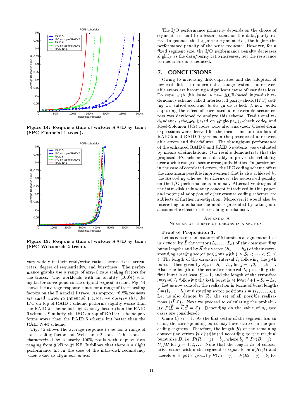

Figure 14: Response time of various RAID systems (SPC Financial 1 trace).  $\bullet$  and the set of the set of the set of the set of the set of the set of the set of the set of the set of the set of the set of the set of the set of the set of the set of the set of the set of the set of the set of the



Figure 15: Response time of various RAID systems (SPC Websearch 2 trace). **B** Brown and the state of the state of the state of the state of the state of the state of the state of the state of the state of the state of the state of the state of the state of the state of the state of the state of

vary widely in their read/write ratios, access sizes, arrival rates, degree of sequentiality, and burstiness. The performance graphs use a range of arrival-rate scaling factors for go are the state of the well-controlled (10007) with the MD Wagon was the Wagon was the Wagon March 2007 (1000 ing factor correspond to the original request stream. Fig. 14 shows the average response times for a range of trace scaling factors on the Financial 1 trace. As approx.  $76.8\%$  requests are small writes in Financial 1 trace, we observe that the IPC on top of RAID 5 scheme performs slightly worse than  $U$  ratio  $V$  is the  $U$  in the  $U$  summer  $U$  . The  $U$  $\ell$  and  $\mathbb{U}$  is turn to provide the property in the set of  $\ell$  is a set of  $\ell$  $\Gamma$  and all  $\Gamma$  in  $\Gamma$  and  $\Gamma$  ratio  $\Gamma$  is the  $\Gamma$  in  $\Gamma$  in  $\Gamma$  is the  $\Gamma$  in  $\Gamma$  is the  $\Gamma$  is the  $\Gamma$  is the  $\Gamma$  is the  $\Gamma$  is the  $\Gamma$  is the  $\Gamma$  is the  $\Gamma$  is the  $\Gamma$  is the  $\Gamma$  is the  $\Gamma$  is the patration is a

Fig. 15 shows the average response times for a range of trace scaling factors on Websearch 2 trace. This trace is characterized by a nearly  $100\%$  reads with request sizes ranging from 8 kB to 32 KB. It follows that there is a slight performance hit in the case of the intra-disk redundancy scheme due to alignment issues.

 $\theta$  the  $\theta$  if  $\theta$  postermented numerity depends on the choice of segment size and to a lesser extent on the data/parity ra- $\pm i\circ$  the conoral the larger the gog port give the higher the performance penalty of the write requests. However, for a  $\mathcal{L}_{mod}$  governot give the  $\mathcal{I}(t)$  performer need nonelty deepesses. slightly as the data/parity ratio increases, but the resistance <sup>g</sup><sup>P</sup> Y]NWM ]aa<sup>P</sup> aU WU <sup>a</sup>]NTZ]NV

### **7. CONCLUSIONS**

Owing to increasing disk capacities and the adoption of liai ai-t di-li- in ii-daun data -tiiaga -ii-taisi -iniaai-iai akla amang ang kaogusing a-dunificant payga af waan data laga  $\sigma$   $\sim$   $\mu$   $\sim$   $\mu$   $\sim$   $\mu$   $\sim$   $\mu$   $\sim$   $\mu$   $\sim$   $\mu$   $\sim$   $\mu$   $\sim$   $\mu$   $\sim$   $\mu$   $\sim$   $\mu$   $\sim$   $\mu$   $\sim$   $\mu$   $\sim$   $\mu$   $\sim$   $\mu$   $\sim$   $\mu$   $\sim$   $\mu$   $\sim$   $\mu$   $\sim$   $\mu$   $\sim$   $\mu$   $\sim$   $\mu$   $\sim$   $\mu$   $\sim$  dundancy scheme called interleaved parity-check (IPC) coding was introduced and its design described. A new model  $\alpha$  anturing the effect of correlated unrecesserable coster or au ya dayalanad ta analyza this sahama. Unaditianal na waa dundancy schemes based on single-parity-check codes and  $D$ eed  $U$ -limin  $DU$  eedes mees also apalmeed  $D$ lised finns expressions were derived for the mean time to data loss of  $\overline{D}$  AID can  $D$  AID constants in the presence of upperconakla awyyng awd digh failwnag. This thuswelvest wawforwareas of the enhanced RAID 5 and RAID 6 systems was evaluated by means of simulations. Our results demonstrate that the proposed IPC scheme considerably improves the reliability over a wide range of sector error probabilities. In particular, in the case of correlated errors, the IPC coding scheme offers the maximum possible improvement that is also achieved by al i DO is dinn silving a Ruuth inii in a dha see sisted i cineltii  $\mathbb{P}^n$  the  $\mathbb{P}(t)$  configuration is minimal. Alternation decima of the intra-disk redundancy concept introduced in this paper. and potential adoption of other erasure coding schemes are and is the official box interactionalism. After server if the subdividual box  $\mathbb R$ interesting to enhance the models presented by taking into account the effects of the caching mechanism.

 $\Lambda$  pppwprs  $\Lambda$  $N_{\rm H111D}$  or bubers of proops  $W$  , spolinum

### Proof of Proposition 1.

Let us consider an instance of  $k$  bursts in a segment and let us denote by L the vector  $(L_1, \ldots, L_k)$  of the corresponding burst lengths and by S the vector  $(S_1, \ldots, S_k)$  of their corresponding starting sector positions with  $1 \leq S_1 \leq \cdots \leq S_k \leq$  $\ell$  The length of the error free interval L following the  $\ell$  th burst is then given by  $S_{i+1} - S_i - L_i$ , for  $j = 1, 2, \ldots, k-1$ .  $\Lambda$ lgo the length of the error free interval I preceding the first burst is at least  $S_1 = 1$  and the length of the error-free integral L following the  $h$  th bungt is at least  $\ell + 1$   $\in$   $\mathbb{C}$ .

Let us now consider the realization in terms of burst lengths  $l = (l_1, \ldots, l_k)$  and starting sector positions  $\vec{s} = (s_1, \ldots, s_k)$ . Let us also denote by  $\mathcal{R}_k$  the set of all possible realizations  $\{(l, \vec{s})\}\.$  Next we proceed to calculating the probability  $P(L = l, S = \vec{s})$ . Depending on the value of  $s_1$ , two cases are considered:

Case 1)  $s_1 = 1$  . As the first sector of the segment has an error, the corresponding burst may have started in the preceding segment. Therefore, the length  $R_1$  of the remaining consecutive errors is distributed according to the residual burst size R ie  $P(R_1 = i) = b_i$ , where  $b_i \triangleq Pr(R = i) =$  $G_i/\bar{B}$  for  $i=1,2,\ldots$  Note that the length  $L_1$  of consecutive errors within the segment is equal to  $\min(R_1, \ell)$  and therefore its ndf is given by  $P(L) = i$   $=$   $P(R) = i$   $=$   $i$   $=$   $h_i$  for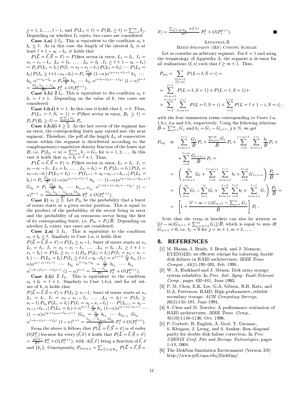$j = 1, 2, \ldots, \ell - 1$ , and  $P(L_1 = \ell) = P(R_1 \geq \ell) = \sum_{i=1}^{\infty} \hat{b}_i$ . Depending on whether  $I_k$  exists, two cases are considered:

**Case 1.a)**  $\exists I_k$ . This is equivalent to the condition  $s_k$  +  $l_k \leq \ell$ . As in this case the length of the interval  $I_k$  is at least  $\ell + 1 - s_k - l_k$ , it holds that

 $P(\vec{L} = \vec{l}, \vec{S} = \vec{s}) = P$ (first sector in error,  $L_1 = l_1, I_1 =$  $s_2 - s_1 - l_1$ ,  $L_2 = l_2$ , ...,  $L_k = l_k$ ,  $I_k \ge l + 1 - s_k - l_k$ <br>=  $P_s P (L_1 = l_1) P (I_1 = s_2 - s_1 - l_1) P (L_2 = l_2) \cdots P (L_k =$  $\begin{array}{l} (l_k) P(I_k \geq \ell+1-s_k-l_k) = P_s \frac{c_{l_1}}{B} (1-\alpha) \alpha^{s_2-s_1-l_1-1} b_{l_2} \cdots \\ b_{l_k} \alpha^{\ell-s_k-l_k} = P_s \frac{c_{l_1}}{B} b_{l_2} \cdots b_{l_k} \alpha^{\ell-k-(l_1+\cdots+l_k)} (1-\alpha)^{k-1} \end{array}$  $=\frac{G_{l_1} b_{l_2} \cdots b_{l_k}}{\bar{B}^k} P_s^k + O(P_s^{k+1}).$ 

**Case 1.b)**  $\sharp$   $I_k$ . This is equivalent to the condition  $s_k$  +  $l_k = \ell + 1$ . Depending on the value of k, two cases are considered:

**Case 1.b.i)**  $k = 1$ . In this case it holds that  $l_1 = \ell$ . Thus,  $P(L_1 = \ell, S_1 = 1) = P(\text{first sector in error}, R_1 \ge \ell) = P_s P(R_1 \ge \ell) = \frac{\sum_{j=\ell}^{\infty} G_j}{B} P_s.$ <br>Case 1.b.ii)  $k \ge 2$ . As the last sector of the segment has

an error, the corresponding burst may extend into the next segment. Therefore, the pdf of the length  $L_k$  of consecutive errors within the segment is distributed according to the complementary cumulative density function of the burst size B, i.e.  $P(L_k = n) = \sum_{j=n}^{\infty} b_j = G_n$  for  $n = 1, 2, ...$  In this<br>case it holds that  $s_k + l_k = \ell + 1$ . Thus,

 $P(\vec{L} = \vec{l}, \vec{S} = \vec{s}) = P$ (first sector in error,  $L_1 = l_1, I_1 =$  $P(L = l, S = s) = P(\text{first sector in error}, L_1 = l_1, I_1 = s_2 - s_1 - l_1, L_2 = l_2, \dots, L_k = l_k) = P_s P(L_1 = l_1) P(I_1 = s_2 - s_1 - l_1) P(L_2 = l_2) \cdots P(I_{k-1} = s_k - s_{k-1} - l_{k-1}) P(L_k = l_k) = P_s \frac{G_{l_1}}{B} (1 - \alpha) \alpha^{s_2 - s_1 - l_1 - 1} b_{l_2} \cdots (1 - \alpha) \alpha^{s_k - s_{k-1} - l_{k-1} - 1} G_{l_k} = P_s \frac{$ 

**Case 2)**  $s_1 \geq 2$ . Let  $P_{bs}$  be the probability that a burst of errors starts at a given sector position. This is equal to the product of the probability of the sector being in error and the probability of an erroneous sector being the first of its corresponding burst, i.e.  $P_{\text{bs}} = P_{\text{s}}/\bar{B}$ . Depending on whether  $I_k$  exists, two cases are considered:

**Case 2.a)**  $\exists$   $I_k$ . This is equivalent to the condition  $s_k + l_k \leq \ell$ . Similarly to Case 1.a, it holds that  $P(\vec{L} = \vec{l}, \vec{S} = \vec{s}) = P(I_0 \ge s_1 - 1,$  burst of errors starts at  $s_1$ ,  $P(L = l, S = s) = F(10 \le s_1 - 1, \text{ units of times states are } s_1$ <br>  $L_1 = l_1, I_1 = s_2 - s_1 - l_1, \dots, L_k = l_k, I_k \ge \ell + 1 - s_k - l_k) = P(I_0 \ge s_1 - 1) P_{bs} P(L_1 = l_1) P(I_1 = s_2 - s_1 - l_1) \cdots P(L_k = l_k) P(I_k \ge \ell + 1 - s_k - l_k) = \alpha^{s_1 - 2} \frac{P_s}{B} b_{l_1} (1 - \alpha) \alpha^{s_2 - s_1 - l_1 - 1} \cdots b_{l_k} \alpha^{\$ 

$$
\alpha^{\ell-k-(l_1+\cdots+l_k)-1} \left(1-\alpha\right)^{k-1} = \frac{v_{l_1}}{B^k} P_s^k + O(P_s^{k+1}).
$$

**Case 2.b)**  $\sharp$   $I_k$ . This is equivalent to the condition  $s_k + l_k = \ell + 1$ . Similarly to Case 1.b.ii, and for all values of  $k$ , it holds that

 $P(\vec{L} = \vec{l}, \vec{S} = \vec{s}) = P(I_0 \ge s_1 - 1$ , burst of errors starts at  $s_1$ ,  $P(L = l, S = s) = P(l_0 \ge s_1 - l,$  burst of errors starts at  $s_1$ ,<br>  $L_1 = l_1, I_1 = s_2 - s_1 - l_1, \ldots, L_k = l_k) = P(I_0 \ge s_1 - 1)P_{bs}P(L_1 = l_1)P(I_1 = s_2 - s_1 - l_1) \cdots P(I_{k-1} = s_k - s_{k-1} - l_{k-1})P(L_k = l_k) = \alpha^{s_1 - 2} \frac{P_s}{B} b_{l_1} (1 - \alpha) \alpha^{s_2 - s_1 - l_1 - 1}$ 

From the above it follows that  $P(\vec{L} = \vec{l}, \vec{S} = \vec{s})$  is of order  $O(P_s^k)$  because for every  $(\vec{l}, \vec{s})$  it holds that  $P(\vec{L} = \vec{l}, \vec{S} = \vec{s})$  $=\frac{A(\vec{l},\vec{s})}{\vec{B}^k}P^k_s+O(P^{k+1}_s)$ , with  $A(\vec{l},\vec{s})$  being a function of  $\vec{l},\vec{s}$ and  $\tilde{\lbrace b_j \rbrace}$ . Consequently,  $P_{\text{burst},k} = \sum_{(\vec{l},\vec{s}\,)\in\mathcal{R}_k} P(\vec{L} = \vec{l}, \vec{S} =$ 

$$
\vec{s}) = \frac{\sum_{(\vec{l},\vec{s}) \in \mathcal{R}_k} A(\vec{l},\vec{s})}{\bar{B}^k} P_{\rm s}^k + O(P_{\rm s}^{k+1}).
$$

### APPENDIX B

### REED-SOLOMON (RS) CODING SCHEME

Let us consider an arbitrary segment. For  $k = 1$  and using the terminology of Appendix A, the segment is in error for all realizations  $(l, s)$  such that  $l \geq m + 1$ . Thus,

$$
P_{\text{seg}} = \sum_{\substack{l \ge m+1 \\ 1 \le i \le \ell}} P(L = l, S = i) =
$$
  
= 
$$
\sum_{\substack{l=m+1 \\ \ell=m-1}}^{\ell-1} P(L = l, S = 1) + P(L = \ell, S = 1) +
$$
  
+ 
$$
\sum_{i=2}^{\ell-m-1} \sum_{l=m+1}^{\ell-i} P(L = l, S = i) + \sum_{i=2}^{\ell-m} P(L = \ell + 1 - i, S = i)
$$

with the four summation terms corresponding to Cases 1.a, 1.b.i, 2.a and 2.b, respectively. Using the following relations  $\overline{B} = \sum_{j=1}^{\infty} G_j$  and  $b_j = G_j - G_{j+1}, \ j \in \mathbb{N}$ , we get

$$
P_{\text{seg}} \approx \sum_{l=m+1}^{\ell-1} \frac{G_l}{\bar{B}} P_s + \frac{\sum_{j=\ell}^{\infty} G_j}{\bar{B}} P_s + \sum_{i=2}^{\ell-m-1} \sum_{l=m+1}^{\ell-i} \frac{b_l}{\bar{B}} P_s +
$$
  
+ 
$$
\sum_{i=2}^{\ell-m} \frac{G_{\ell+1-i}}{\bar{B}} P_s =
$$
  
= 
$$
\left( \sum_{l=m+1}^{\infty} G_l + \sum_{i=2}^{\ell-m-1} \sum_{l=m+1}^{\ell-i} b_l + \sum_{i=2}^{\ell-m} G_{\ell+1-i} \right) \frac{P_s}{\bar{B}} =
$$
  
= 
$$
\left( \sum_{l=1}^{\infty} G_l - \sum_{l=1}^{m} G_l + \sum_{l=m+1}^{\ell-2} \sum_{i=2}^{\ell-l} b_l + \sum_{i=m+1}^{\ell-1} G_i \right) \frac{P_s}{\bar{B}} =
$$
  
= 
$$
\left[ 1 + \frac{(\ell-m-1)G_{m+1} - \sum_{j=1}^{m} G_j}{\bar{B}} \right] P_s.
$$

Note that the term in brackets can also be written as  $[(\ell-m)G_{m+1} + \sum_{j=m+2}^{\infty} G_j]/\overline{B}$ , which is equal to zero iff  $G_{m+1} = 0$ , i.e.  $b_j = 0$  for  $j = m+1, m+2, \ldots$ .

#### **REFERENCES** 8.

- [1] M. Blaum, J. Brady, J. Bruck, and J. Mennon. EVENODD: an efficient scheme for tolerating double disk failures in RAID architectures. IEEE Trans. Comput.,  $44(2):192-202$ , Feb. 1995.
- [2] W. A. Burkhard and J. Menon. Disk array storage system reliability. In Proc. Intl. Symp. Fault-Tolerant Comp., pages 432-441, June 1993.
- [3] P. M. Chen, E.K. Lee, G.A. Gibson, R.H. Katz, and D.A. Patterson. RAID: High-performance, reliable secondary storage. ACM Computing Surveys,  $26(2):145-185$ , June 1994.
- [4] S. Chen and D. Towsley. A performance evaluation of RAID architectures. IEEE Trans. Comp.,  $45(10):1116-1130$ , Oct. 1996.
- P. Corbett, R. English, A. Goel, T. Greanac, S. Kleiman, J. Leong, and S. Sankar. Row-diagonal parity for double disk failure correction. In  $Proc.$ USENIX Conf. File and Storage Technologies, pages  $1-14, 2004.$
- [6] The DiskSim Simulation Environment (Version 3.0) http://www.pdl.cmu.edu/DiskSim/